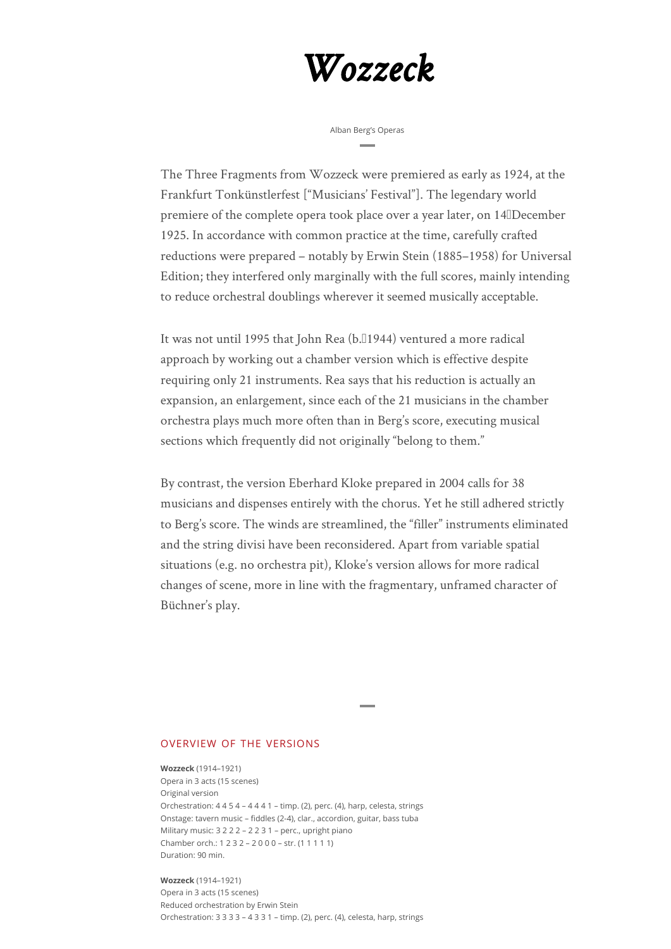## *Wozzeck*

Alban Berg's Operas

The Three Fragments from Wozzeck were premiered as early as 1924, at the Frankfurt Tonkünstlerfest ["Musicians' Festival"]. The legendary world premiere of the complete opera took place over a year later, on 14<sup>ID</sup> December 1925. In accordance with common practice at the time, carefully crafted reductions were prepared – notably by Erwin Stein (1885–1958) for Universal Edition; they interfered only marginally with the full scores, mainly intending to reduce orchestral doublings wherever it seemed musically acceptable.

It was not until 1995 that John Rea (b. 1944) ventured a more radical approach by working out a chamber version which is effective despite requiring only 21 instruments. Rea says that his reduction is actually an expansion, an enlargement, since each of the 21 musicians in the chamber orchestra plays much more often than in Berg's score, executing musical sections which frequently did not originally "belong to them."

By contrast, the version Eberhard Kloke prepared in 2004 calls for 38 musicians and dispenses entirely with the chorus. Yet he still adhered strictly to Berg's score. The winds are streamlined, the "filler" instruments eliminated and the string divisi have been reconsidered. Apart from variable spatial situations (e.g. no orchestra pit), Kloke's version allows for more radical changes of scene, more in line with the fragmentary, unframed character of Büchner's play.

## OVERVIEW OF THE VERSIONS

**Wozzeck** (1914–1921) Opera in 3 acts (15 scenes) Original version Orchestration: 4 4 5 4 – 4 4 4 1 – timp. (2), perc. (4), harp, celesta, strings Onstage: tavern music – fiddles (2-4), clar., accordion, guitar, bass tuba Military music: 3 2 2 2 – 2 2 3 1 – perc., upright piano Chamber orch.: 1 2 3 2 – 2 0 0 0 – str. (1 1 1 1 1) Duration: 90 min.

**Wozzeck** (1914–1921)

Opera in 3 acts (15 scenes) Reduced orchestration by Erwin Stein Orchestration: 3 3 3 3 – 4 3 3 1 – timp. (2), perc. (4), celesta, harp, strings